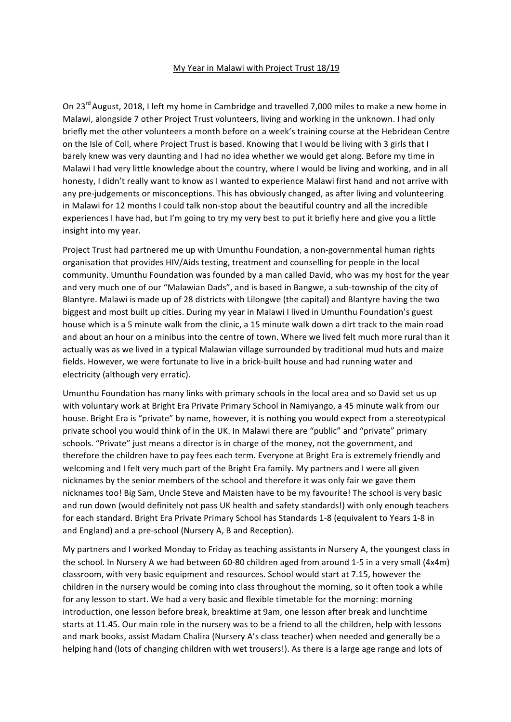## My Year in Malawi with Project Trust 18/19

On 23<sup>rd</sup> August, 2018, I left my home in Cambridge and travelled 7,000 miles to make a new home in Malawi, alongside 7 other Project Trust volunteers, living and working in the unknown. I had only briefly met the other volunteers a month before on a week's training course at the Hebridean Centre on the Isle of Coll, where Project Trust is based. Knowing that I would be living with 3 girls that I barely knew was very daunting and I had no idea whether we would get along. Before my time in Malawi I had very little knowledge about the country, where I would be living and working, and in all honesty, I didn't really want to know as I wanted to experience Malawi first hand and not arrive with any pre-judgements or misconceptions. This has obviously changed, as after living and volunteering in Malawi for 12 months I could talk non-stop about the beautiful country and all the incredible experiences I have had, but I'm going to try my very best to put it briefly here and give you a little insight into my year.

Project Trust had partnered me up with Umunthu Foundation, a non-governmental human rights organisation that provides HIV/Aids testing, treatment and counselling for people in the local community. Umunthu Foundation was founded by a man called David, who was my host for the year and very much one of our "Malawian Dads", and is based in Bangwe, a sub-township of the city of Blantyre. Malawi is made up of 28 districts with Lilongwe (the capital) and Blantyre having the two biggest and most built up cities. During my year in Malawi I lived in Umunthu Foundation's guest house which is a 5 minute walk from the clinic, a 15 minute walk down a dirt track to the main road and about an hour on a minibus into the centre of town. Where we lived felt much more rural than it actually was as we lived in a typical Malawian village surrounded by traditional mud huts and maize fields. However, we were fortunate to live in a brick-built house and had running water and electricity (although very erratic).

Umunthu Foundation has many links with primary schools in the local area and so David set us up with voluntary work at Bright Era Private Primary School in Namiyango, a 45 minute walk from our house. Bright Era is "private" by name, however, it is nothing you would expect from a stereotypical private school you would think of in the UK. In Malawi there are "public" and "private" primary schools. "Private" just means a director is in charge of the money, not the government, and therefore the children have to pay fees each term. Everyone at Bright Era is extremely friendly and welcoming and I felt very much part of the Bright Era family. My partners and I were all given nicknames by the senior members of the school and therefore it was only fair we gave them nicknames too! Big Sam, Uncle Steve and Maisten have to be my favourite! The school is very basic and run down (would definitely not pass UK health and safety standards!) with only enough teachers for each standard. Bright Era Private Primary School has Standards 1-8 (equivalent to Years 1-8 in and England) and a pre-school (Nursery A, B and Reception).

My partners and I worked Monday to Friday as teaching assistants in Nursery A, the youngest class in the school. In Nursery A we had between 60-80 children aged from around 1-5 in a very small (4x4m) classroom, with very basic equipment and resources. School would start at 7.15, however the children in the nursery would be coming into class throughout the morning, so it often took a while for any lesson to start. We had a very basic and flexible timetable for the morning: morning introduction, one lesson before break, breaktime at 9am, one lesson after break and lunchtime starts at 11.45. Our main role in the nursery was to be a friend to all the children, help with lessons and mark books, assist Madam Chalira (Nursery A's class teacher) when needed and generally be a helping hand (lots of changing children with wet trousers!). As there is a large age range and lots of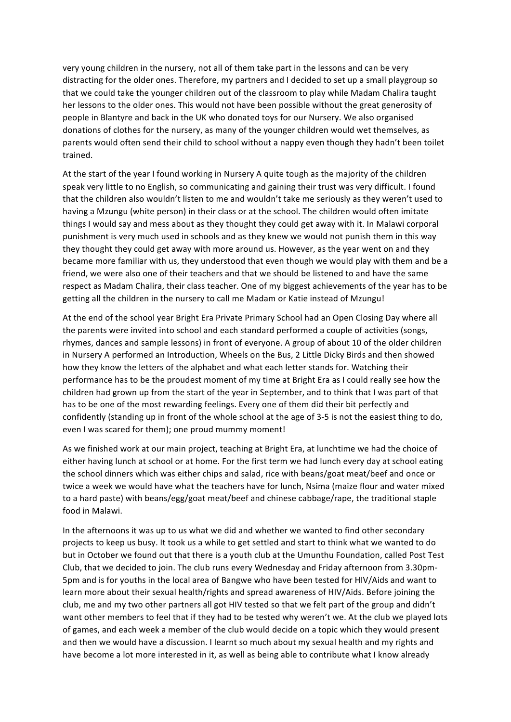very young children in the nursery, not all of them take part in the lessons and can be very distracting for the older ones. Therefore, my partners and I decided to set up a small playgroup so that we could take the younger children out of the classroom to play while Madam Chalira taught her lessons to the older ones. This would not have been possible without the great generosity of people in Blantyre and back in the UK who donated toys for our Nursery. We also organised donations of clothes for the nursery, as many of the younger children would wet themselves, as parents would often send their child to school without a nappy even though they hadn't been toilet trained.

At the start of the year I found working in Nursery A quite tough as the majority of the children speak very little to no English, so communicating and gaining their trust was very difficult. I found that the children also wouldn't listen to me and wouldn't take me seriously as they weren't used to having a Mzungu (white person) in their class or at the school. The children would often imitate things I would say and mess about as they thought they could get away with it. In Malawi corporal punishment is very much used in schools and as they knew we would not punish them in this way they thought they could get away with more around us. However, as the year went on and they became more familiar with us, they understood that even though we would play with them and be a friend, we were also one of their teachers and that we should be listened to and have the same respect as Madam Chalira, their class teacher. One of my biggest achievements of the year has to be getting all the children in the nursery to call me Madam or Katie instead of Mzungu!

At the end of the school year Bright Era Private Primary School had an Open Closing Day where all the parents were invited into school and each standard performed a couple of activities (songs, rhymes, dances and sample lessons) in front of everyone. A group of about 10 of the older children in Nursery A performed an Introduction, Wheels on the Bus, 2 Little Dicky Birds and then showed how they know the letters of the alphabet and what each letter stands for. Watching their performance has to be the proudest moment of my time at Bright Era as I could really see how the children had grown up from the start of the year in September, and to think that I was part of that has to be one of the most rewarding feelings. Every one of them did their bit perfectly and confidently (standing up in front of the whole school at the age of 3-5 is not the easiest thing to do, even I was scared for them); one proud mummy moment!

As we finished work at our main project, teaching at Bright Era, at lunchtime we had the choice of either having lunch at school or at home. For the first term we had lunch every day at school eating the school dinners which was either chips and salad, rice with beans/goat meat/beef and once or twice a week we would have what the teachers have for lunch, Nsima (maize flour and water mixed to a hard paste) with beans/egg/goat meat/beef and chinese cabbage/rape, the traditional staple food in Malawi.

In the afternoons it was up to us what we did and whether we wanted to find other secondary projects to keep us busy. It took us a while to get settled and start to think what we wanted to do but in October we found out that there is a youth club at the Umunthu Foundation, called Post Test Club, that we decided to join. The club runs every Wednesday and Friday afternoon from 3.30pm-5pm and is for youths in the local area of Bangwe who have been tested for HIV/Aids and want to learn more about their sexual health/rights and spread awareness of HIV/Aids. Before joining the club, me and my two other partners all got HIV tested so that we felt part of the group and didn't want other members to feel that if they had to be tested why weren't we. At the club we played lots of games, and each week a member of the club would decide on a topic which they would present and then we would have a discussion. I learnt so much about my sexual health and my rights and have become a lot more interested in it, as well as being able to contribute what I know already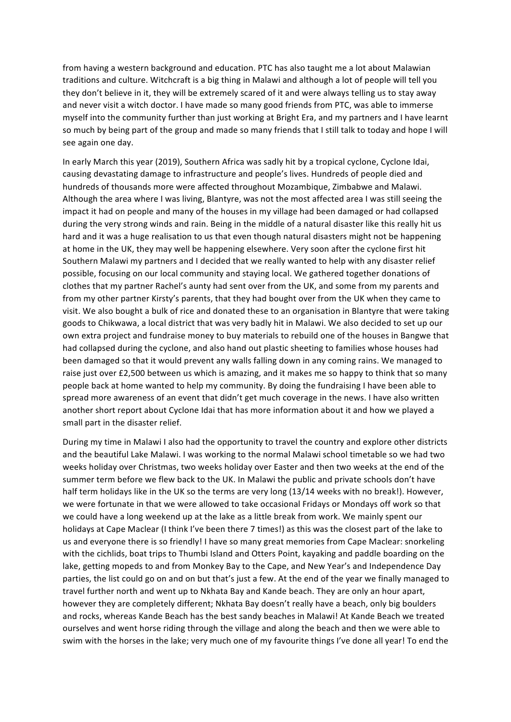from having a western background and education. PTC has also taught me a lot about Malawian traditions and culture. Witchcraft is a big thing in Malawi and although a lot of people will tell you they don't believe in it, they will be extremely scared of it and were always telling us to stay away and never visit a witch doctor. I have made so many good friends from PTC, was able to immerse myself into the community further than just working at Bright Era, and my partners and I have learnt so much by being part of the group and made so many friends that I still talk to today and hope I will see again one day.

In early March this year (2019), Southern Africa was sadly hit by a tropical cyclone, Cyclone Idai, causing devastating damage to infrastructure and people's lives. Hundreds of people died and hundreds of thousands more were affected throughout Mozambique, Zimbabwe and Malawi. Although the area where I was living, Blantyre, was not the most affected area I was still seeing the impact it had on people and many of the houses in my village had been damaged or had collapsed during the very strong winds and rain. Being in the middle of a natural disaster like this really hit us hard and it was a huge realisation to us that even though natural disasters might not be happening at home in the UK, they may well be happening elsewhere. Very soon after the cyclone first hit Southern Malawi my partners and I decided that we really wanted to help with any disaster relief possible, focusing on our local community and staying local. We gathered together donations of clothes that my partner Rachel's aunty had sent over from the UK, and some from my parents and from my other partner Kirsty's parents, that they had bought over from the UK when they came to visit. We also bought a bulk of rice and donated these to an organisation in Blantyre that were taking goods to Chikwawa, a local district that was very badly hit in Malawi. We also decided to set up our own extra project and fundraise money to buy materials to rebuild one of the houses in Bangwe that had collapsed during the cyclone, and also hand out plastic sheeting to families whose houses had been damaged so that it would prevent any walls falling down in any coming rains. We managed to raise just over £2,500 between us which is amazing, and it makes me so happy to think that so many people back at home wanted to help my community. By doing the fundraising I have been able to spread more awareness of an event that didn't get much coverage in the news. I have also written another short report about Cyclone Idai that has more information about it and how we played a small part in the disaster relief.

During my time in Malawi I also had the opportunity to travel the country and explore other districts and the beautiful Lake Malawi. I was working to the normal Malawi school timetable so we had two weeks holiday over Christmas, two weeks holiday over Easter and then two weeks at the end of the summer term before we flew back to the UK. In Malawi the public and private schools don't have half term holidays like in the UK so the terms are very long (13/14 weeks with no break!). However, we were fortunate in that we were allowed to take occasional Fridays or Mondays off work so that we could have a long weekend up at the lake as a little break from work. We mainly spent our holidays at Cape Maclear (I think I've been there 7 times!) as this was the closest part of the lake to us and everyone there is so friendly! I have so many great memories from Cape Maclear: snorkeling with the cichlids, boat trips to Thumbi Island and Otters Point, kayaking and paddle boarding on the lake, getting mopeds to and from Monkey Bay to the Cape, and New Year's and Independence Day parties, the list could go on and on but that's just a few. At the end of the year we finally managed to travel further north and went up to Nkhata Bay and Kande beach. They are only an hour apart, however they are completely different; Nkhata Bay doesn't really have a beach, only big boulders and rocks, whereas Kande Beach has the best sandy beaches in Malawi! At Kande Beach we treated ourselves and went horse riding through the village and along the beach and then we were able to swim with the horses in the lake; very much one of my favourite things I've done all year! To end the